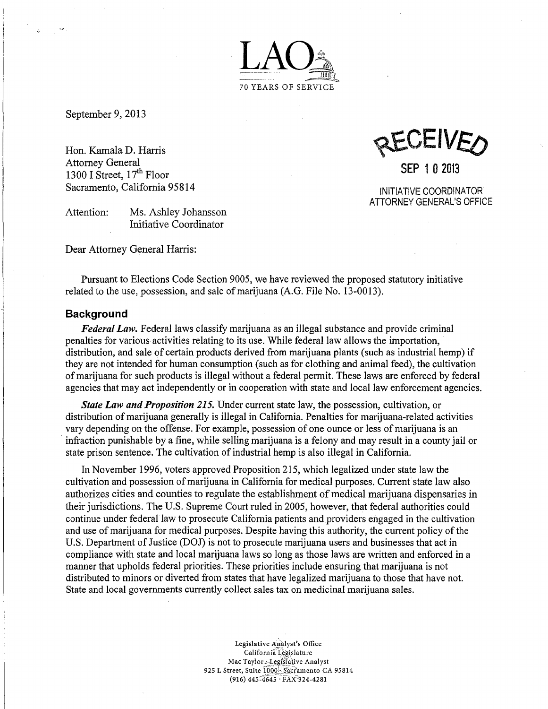

September 9, 2013

 $\hat{\mathbf{a}}$ 

Hon. Kamala D. Harris Attorney General 1300 I Street,  $17<sup>th</sup>$  Floor Sacramento, California 95814

Attention: Ms. Ashley Johansson Initiative Coordinator

Dear Attorney General Harris:

ACIVE

SEP 1 0 2013

INITIATIVE COORDINATOR ATTORNEY GENERAL'S OFFICE

Pursuant to Elections Code Section 9005, we have reviewed the proposed statutory initiative related to the use, possession, and sale of marijuana (A.G. File No. 13-0013).

#### **Background**

*Federal Law.* Federal laws classify marijuana as an illegal substance and provide criminal penalties for various activities relating to its use. While federal law allows the importation, distribution, and sale of certain products derived from marijuana plants (such as industrial hemp) if they are not intended for human consumption (such as for clothing and animal feed), the cultivation of marijuana for such products is illegal without a federal permit. These laws are enforced by federal agencies that may act independently or in cooperation with state and local law enforcement agencies.

*State Law and Proposition 215.* Under current state law, the possession, cultivation, or distribution of marijuana generally is illegal in California. Penalties for marijuana-related activities vary depending on the offense. For example, possession of one ounce or less of marijuana is an infraction punishable by a fine, while selling marijuana is a felony and may result in a county jail or state prison sentence. The cultivation of industrial hemp is also illegal in California.

In November 1996, voters approved Proposition 215, which legalized under state law the cultivation and possession of marijuana in California for medical purposes. Current state law also authorizes cities and counties to regulate the establishment of medical marijuana dispensaries in their jurisdictions. The U.S. Supreme Court ruled in 2005, however, that federal authorities could continue under federal law to prosecute California patients and providers engaged in the cultivation and use of marijuana for medical purposes. Despite having this authority, the current policy of the U.S. Department of Justice (DOJ) is not to prosecute marijuana users and businesses that act in compliance with state and local marijuana laws so long as those laws are written and enforced in a manner that upholds federal priorities. These priorities include ensuring that marijuana is not distributed to minors or diverted from states that have legalized marijuana to those that have not. State and local governments currently collect sales tax on medicinal marijuana sales.

> Legislative Analyst's Office California Legislature Mac Taylor - Legislative Analyst 925 L Street, Suite 1000 Sacramento CA 95814 (916) 445-4645 · FAX 324-4281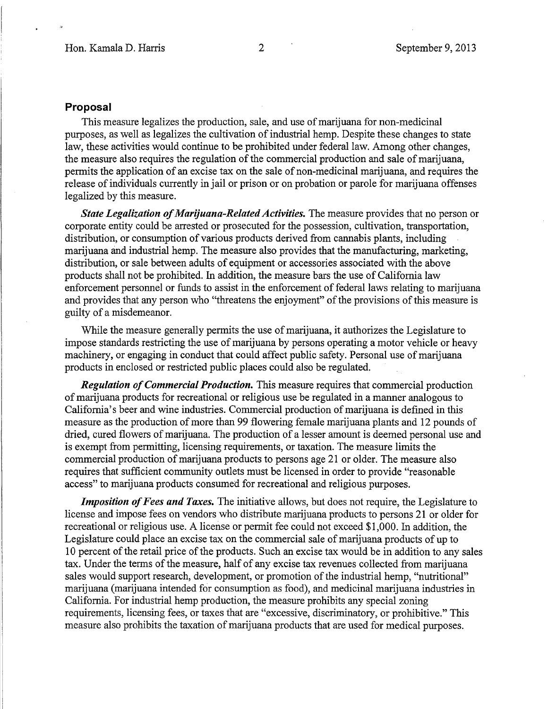## **Proposal**

This measure legalizes the production, sale, and use of marijuana for non-medicinal purposes, as well as legalizes the cultivation of industrial hemp. Despite these changes to state law, these activities would continue to be prohibited under federal law. Among other changes, the measure also requires the regulation of the commercial production and sale of marijuana, permits the application of an excise tax on the sale of non-medicinal marijuana, and requires the release of individuals currently in jail or prison or on probation or parole for marijuana offenses legalized by this measure.

*State Legalization of Marijuana-Related Activities.* The measure provides that no person or corporate entity could be arrested or prosecuted for the possession, cultivation, transportation, distribution, or consumption of various products derived from cannabis plants, including marijuana and industrial hemp. The measure also provides that the manufacturing, marketing, distribution, or sale between adults of equipment or accessories associated with the above products shall not be prohibited. In addition, the measure bars the use of California law enforcement personnel or funds to assist in the enforcement of federal laws relating to marijuana and provides that any person who "threatens the enjoyment" of the provisions of this measure is guilty of a misdemeanor.

While the measure generally permits the use of marijuana, it authorizes the Legislature to impose standards restricting the use of marijuana by persons operating a motor vehicle or heavy machinery, or engaging in conduct that could affect public safety. Personal use of marijuana products in enclosed or restricted public places could also be regulated.

*Regulation of Commercial Production.* This measure requires that commercial production of marijuana products for recreational or religious use be regulated in a manner analogous to California's beer and wine industries. Commercial production of marijuana is defined in this measure as the production of more than 99 flowering female marijuana plants and 12 pounds of dried, cured flowers of marijuana. The production of a lesser amount is deemed personal use and is exempt from permitting, licensing requirements, or taxation. The measure limits the commercial production of marijuana products to persons age 21 or older. The measure also requires that sufficient community outlets must be licensed in order to provide "reasonable access" to marijuana products consumed for recreational and religious purposes.

*Imposition of Fees and Taxes.* The initiative allows, but does not require, the Legislature to license and impose fees on vendors who distribute marijuana products to persons 21 or older for recreational or religious use. A license or permit fee could not exceed \$1,000. In addition, the Legislature could place an excise tax on the commercial sale of marijuana products of up to 10 percent of the retail price of the products. Such an excise tax would be in addition to any sales tax. Under the terms of the measure, half of any excise tax revenues collected from marijuana sales would support research, development, or promotion of the industrial hemp, "nutritional" marijuana (marijuana intended for consumption as food), and medicinal marijuana industries in California. For industrial hemp production, the measure prohibits any special zoning requirements, licensing fees, or taxes that are "excessive, discriminatory, or prohibitive." This measure also prohibits the taxation of marijuana products that are used for medical purposes.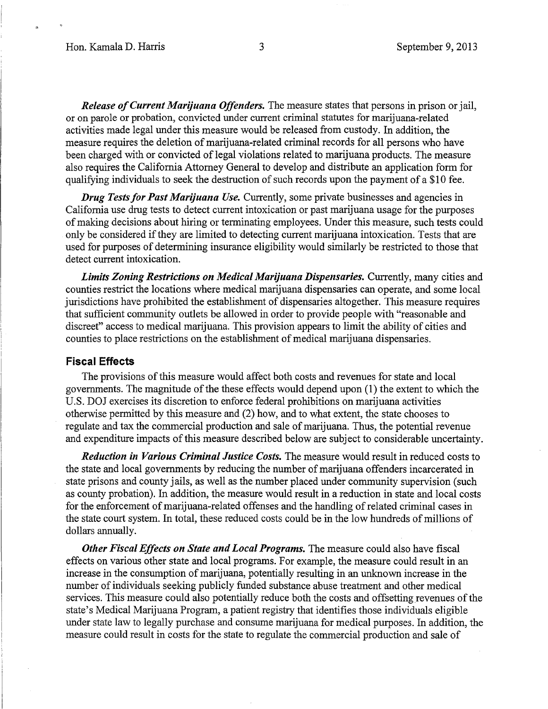*Release of Current Marijuana Offenders.* The measure states that persons in prison or jail, or on parole or probation, convicted under current criminal statutes for marijuana-related activities made legal under this measure would be released from custody. In addition, the measure requires the deletion of marijuana-related criminal records for all persons who have been charged with or convicted of legal violations related to marijuana products. The measure also requires the California Attorney General to develop and distribute an application form for qualifying individuals to seek the destruction of such records upon the payment of a \$10 fee.

*Drug Tests for Past Marijuana Use.* Currently, some private businesses and agencies in California use drug tests to detect current intoxication or past marijuana usage for the purposes of making decisions about hiring or terminating employees. Under this measure, such tests could only be considered if they are limited to detecting current marijuana intoxication. Tests that are used for purposes of determining insurance eligibility would similarly be restricted to those that detect current intoxication.

*Limits Zoning Restrictions on Medical Marijuana Dispensaries.* Currently, many cities and counties restrict the locations where medical marijuana dispensaries can operate, and some local jurisdictions have prohibited the establishment of dispensaries altogether. This measure requires that sufficient community outlets be allowed in order to provide people with "reasonable and discreet" access to medical marijuana. This provision appears to limit the ability of cities and counties to place restrictions on the establishment of medical marijuana dispensaries.

### **Fiscal Effects**

The provisions of this measure would affect both costs and revenues for state and local governments. The magnitude of the these effects would depend upon (1) the extent to which the U.S. DOJ exercises its discretion to enforce federal prohibitions on marijuana activities otherwise permitted by this measure and (2) how, and to what extent, the state chooses to regulate and tax the commercial production and sale of marijuana. Thus, the potential revenue and expenditure impacts of this measure described below are subject to considerable uncertainty.

*Reduction in Various Criminal Justice Costs.* The measure would result in reduced costs to the state and local governments by reducing the number of marijuana offenders incarcerated in state prisons and county jails, as well as the number placed under community supervision (such as county probation). In addition, the measure would result in a reduction in state and local costs for the enforcement of marijuana-related offenses and the handling of related criminal cases in the state court system. In total, these reduced costs could be in the low hundreds of millions of dollars annually.

*Other Fiscal Effects on State and Local Programs. The measure could also have fiscal* effects on various other state and local programs. For example, the measure could result in an increase in the consumption of marijuana, potentially resulting in an unknown increase in the number of individuals seeking publicly funded substance abuse treatment and other medical services. This measure could also potentially reduce both the costs and offsetting revenues of the state's Medical Marijuana Program, a patient registry that identifies those individuals eligible under state law to legally purchase and consume marijuana for medical purposes. In addition, the measure could result in costs for the state to regulate the commercial production and sale of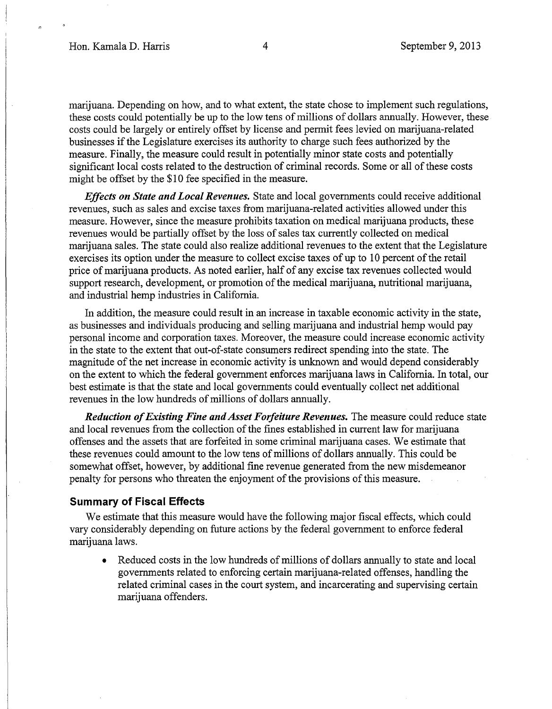marijuana. Depending on how, and to what extent, the state chose to implement such regulations, these costs could potentially be up to the low tens of millions of dollars annually. However, these costs could be largely or entirely offset by license and permit fees levied on marijuana-related businesses if the Legislature exercises its authority to charge such fees authorized by the measure. Finally, the measure could result in potentially minor state costs and potentially significant local costs related to the destruction of criminal records. Some or all of these costs might be offset by the \$10 fee specified in the measure.

*Effects on State and Local Revenues.* State and local governments could receive additional revenues, such as sales and excise taxes from marijuana-related activities allowed under this measure. However, since the measure prohibits taxation on medical marijuana products, these revenues would be partially offset by the loss of sales tax currently collected on medical marijuana sales. The state could also realize additional revenues to the extent that the Legislature exercises its option under the measure to collect excise taxes of up to 10 percent of the retail price of marijuana products. As noted earlier, half of any excise tax revenues collected would support research, development, or promotion of the medical marijuana, nutritional marijuana, and industrial hemp industries in California.

In addition, the measure could result in an increase in taxable economic activity in the state, as businesses and individuals producing and selling marijuana and industrial hemp would pay personal income and corporation taxes. Moreover, the measure could increase economic activity in the state to the extent that out-of-state consumers redirect spending into the state. The magnitude of the net increase in economic activity is unknown and would depend considerably on the extent to which the federal government enforces marijuana laws in California. In total, our best estimate is that the state and local governments could eventually collect net additional revenues in the low hundreds of millions of dollars annually.

*Reduction of Existing Fine and Asset Forfeiture Revenues.* The measure could reduce state and local revenues from the collection of the fines established in current law for marijuana offenses and the assets that are forfeited in some criminal marijuana cases. We estimate that these revenues could amount to the low tens of millions of dollars annually. This could be somewhat offset, however, by additional fine revenue generated from the new misdemeanor penalty for persons who threaten the enjoyment of the provisions of this measure.

#### **Summary of Fiscal Effects**

We estimate that this measure would have the following major fiscal effects, which could vary considerably depending on future actions by the federal government to enforce federal marijuana laws.

• Reduced costs in the low hundreds of millions of dollars annually to state and local governments related to enforcing certain marijuana-related offenses, handling the related criminal cases in the court system, and incarcerating and supervising certain marijuana offenders.